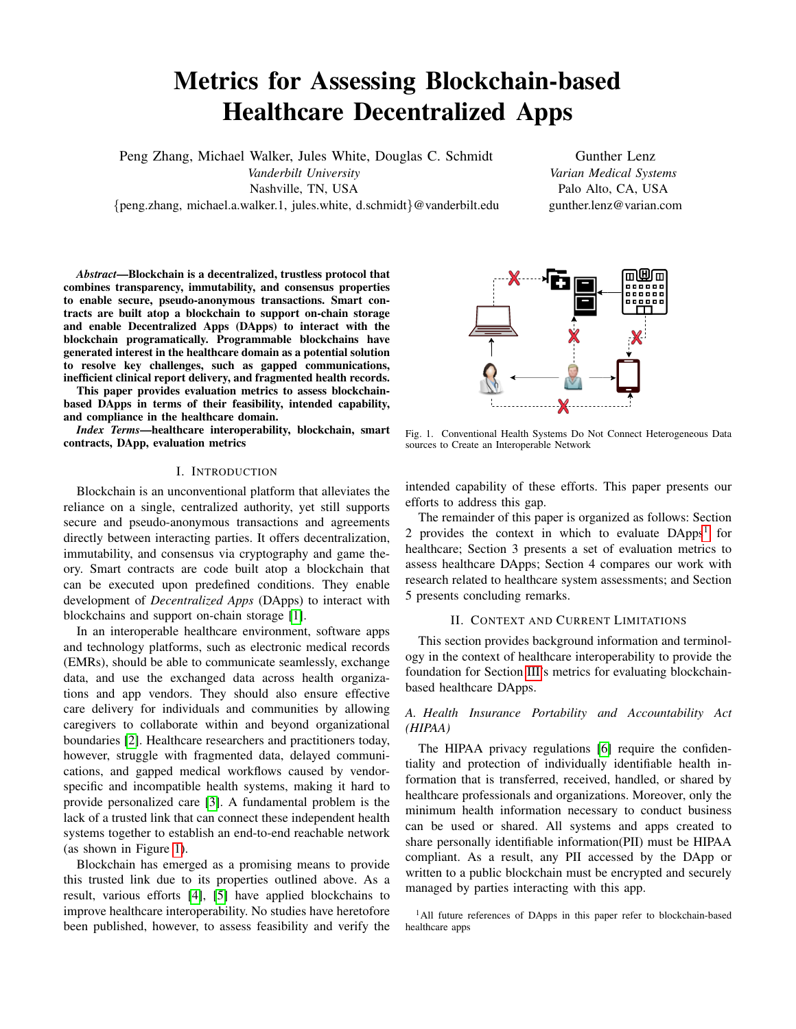# Metrics for Assessing Blockchain-based Healthcare Decentralized Apps

Peng Zhang, Michael Walker, Jules White, Douglas C. Schmidt

*Vanderbilt University* Nashville, TN, USA

{peng.zhang, michael.a.walker.1, jules.white, d.schmidt}@vanderbilt.edu

Gunther Lenz *Varian Medical Systems* Palo Alto, CA, USA gunther.lenz@varian.com

*Abstract*—Blockchain is a decentralized, trustless protocol that combines transparency, immutability, and consensus properties to enable secure, pseudo-anonymous transactions. Smart contracts are built atop a blockchain to support on-chain storage and enable Decentralized Apps (DApps) to interact with the blockchain programatically. Programmable blockchains have generated interest in the healthcare domain as a potential solution to resolve key challenges, such as gapped communications, inefficient clinical report delivery, and fragmented health records.

This paper provides evaluation metrics to assess blockchainbased DApps in terms of their feasibility, intended capability, and compliance in the healthcare domain.

*Index Terms*—healthcare interoperability, blockchain, smart contracts, DApp, evaluation metrics

#### I. INTRODUCTION

Blockchain is an unconventional platform that alleviates the reliance on a single, centralized authority, yet still supports secure and pseudo-anonymous transactions and agreements directly between interacting parties. It offers decentralization, immutability, and consensus via cryptography and game theory. Smart contracts are code built atop a blockchain that can be executed upon predefined conditions. They enable development of *Decentralized Apps* (DApps) to interact with blockchains and support on-chain storage [\[1\]](#page-3-0).

In an interoperable healthcare environment, software apps and technology platforms, such as electronic medical records (EMRs), should be able to communicate seamlessly, exchange data, and use the exchanged data across health organizations and app vendors. They should also ensure effective care delivery for individuals and communities by allowing caregivers to collaborate within and beyond organizational boundaries [\[2\]](#page-3-1). Healthcare researchers and practitioners today, however, struggle with fragmented data, delayed communications, and gapped medical workflows caused by vendorspecific and incompatible health systems, making it hard to provide personalized care [\[3\]](#page-3-2). A fundamental problem is the lack of a trusted link that can connect these independent health systems together to establish an end-to-end reachable network (as shown in Figure [1\)](#page-0-0).

Blockchain has emerged as a promising means to provide this trusted link due to its properties outlined above. As a result, various efforts [\[4\]](#page-3-3), [\[5\]](#page-3-4) have applied blockchains to improve healthcare interoperability. No studies have heretofore been published, however, to assess feasibility and verify the



<span id="page-0-0"></span>Fig. 1. Conventional Health Systems Do Not Connect Heterogeneous Data sources to Create an Interoperable Network

intended capability of these efforts. This paper presents our efforts to address this gap.

The remainder of this paper is organized as follows: Section 2 provides the context in which to evaluate DApps<sup>[1](#page-0-1)</sup> for healthcare; Section 3 presents a set of evaluation metrics to assess healthcare DApps; Section 4 compares our work with research related to healthcare system assessments; and Section 5 presents concluding remarks.

#### II. CONTEXT AND CURRENT LIMITATIONS

<span id="page-0-2"></span>This section provides background information and terminology in the context of healthcare interoperability to provide the foundation for Section [III'](#page-1-0)s metrics for evaluating blockchainbased healthcare DApps.

## *A. Health Insurance Portability and Accountability Act (HIPAA)*

The HIPAA privacy regulations [\[6\]](#page-3-5) require the confidentiality and protection of individually identifiable health information that is transferred, received, handled, or shared by healthcare professionals and organizations. Moreover, only the minimum health information necessary to conduct business can be used or shared. All systems and apps created to share personally identifiable information(PII) must be HIPAA compliant. As a result, any PII accessed by the DApp or written to a public blockchain must be encrypted and securely managed by parties interacting with this app.

<span id="page-0-1"></span><sup>&</sup>lt;sup>1</sup>All future references of DApps in this paper refer to blockchain-based healthcare apps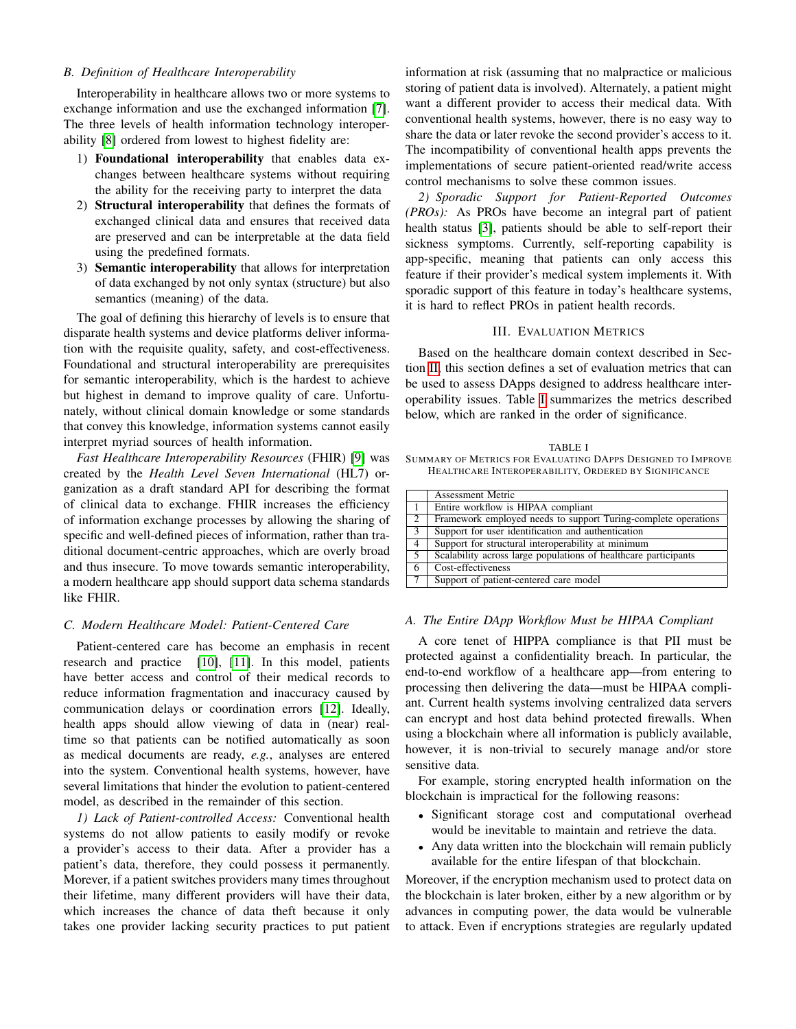#### <span id="page-1-2"></span>*B. Definition of Healthcare Interoperability*

Interoperability in healthcare allows two or more systems to exchange information and use the exchanged information [\[7\]](#page-3-6). The three levels of health information technology interoperability [\[8\]](#page-3-7) ordered from lowest to highest fidelity are:

- 1) Foundational interoperability that enables data exchanges between healthcare systems without requiring the ability for the receiving party to interpret the data
- 2) Structural interoperability that defines the formats of exchanged clinical data and ensures that received data are preserved and can be interpretable at the data field using the predefined formats.
- 3) Semantic interoperability that allows for interpretation of data exchanged by not only syntax (structure) but also semantics (meaning) of the data.

The goal of defining this hierarchy of levels is to ensure that disparate health systems and device platforms deliver information with the requisite quality, safety, and cost-effectiveness. Foundational and structural interoperability are prerequisites for semantic interoperability, which is the hardest to achieve but highest in demand to improve quality of care. Unfortunately, without clinical domain knowledge or some standards that convey this knowledge, information systems cannot easily interpret myriad sources of health information.

*Fast Healthcare Interoperability Resources* (FHIR) [\[9\]](#page-3-8) was created by the *Health Level Seven International* (HL7) organization as a draft standard API for describing the format of clinical data to exchange. FHIR increases the efficiency of information exchange processes by allowing the sharing of specific and well-defined pieces of information, rather than traditional document-centric approaches, which are overly broad and thus insecure. To move towards semantic interoperability, a modern healthcare app should support data schema standards like FHIR.

## <span id="page-1-3"></span>*C. Modern Healthcare Model: Patient-Centered Care*

Patient-centered care has become an emphasis in recent research and practice [\[10\]](#page-3-9), [\[11\]](#page-3-10). In this model, patients have better access and control of their medical records to reduce information fragmentation and inaccuracy caused by communication delays or coordination errors [\[12\]](#page-3-11). Ideally, health apps should allow viewing of data in (near) realtime so that patients can be notified automatically as soon as medical documents are ready, *e.g.*, analyses are entered into the system. Conventional health systems, however, have several limitations that hinder the evolution to patient-centered model, as described in the remainder of this section.

*1) Lack of Patient-controlled Access:* Conventional health systems do not allow patients to easily modify or revoke a provider's access to their data. After a provider has a patient's data, therefore, they could possess it permanently. Morever, if a patient switches providers many times throughout their lifetime, many different providers will have their data, which increases the chance of data theft because it only takes one provider lacking security practices to put patient

information at risk (assuming that no malpractice or malicious storing of patient data is involved). Alternately, a patient might want a different provider to access their medical data. With conventional health systems, however, there is no easy way to share the data or later revoke the second provider's access to it. The incompatibility of conventional health apps prevents the implementations of secure patient-oriented read/write access control mechanisms to solve these common issues.

*2) Sporadic Support for Patient-Reported Outcomes (PROs):* As PROs have become an integral part of patient health status [\[3\]](#page-3-2), patients should be able to self-report their sickness symptoms. Currently, self-reporting capability is app-specific, meaning that patients can only access this feature if their provider's medical system implements it. With sporadic support of this feature in today's healthcare systems, it is hard to reflect PROs in patient health records.

#### III. EVALUATION METRICS

<span id="page-1-0"></span>Based on the healthcare domain context described in Section [II,](#page-0-2) this section defines a set of evaluation metrics that can be used to assess DApps designed to address healthcare interoperability issues. Table [I](#page-1-1) summarizes the metrics described below, which are ranked in the order of significance.

<span id="page-1-1"></span>

| TABLE I                                                     |
|-------------------------------------------------------------|
| SUMMARY OF METRICS FOR EVALUATING DAPPS DESIGNED TO IMPROVE |
| HEALTHCARE INTEROPERABILITY, ORDERED BY SIGNIFICANCE        |

|   | <b>Assessment Metric</b>                                        |
|---|-----------------------------------------------------------------|
|   | Entire workflow is HIPAA compliant                              |
| 2 | Framework employed needs to support Turing-complete operations  |
| 3 | Support for user identification and authentication              |
| 4 | Support for structural interoperability at minimum              |
| 5 | Scalability across large populations of healthcare participants |
| 6 | Cost-effectiveness                                              |
|   | Support of patient-centered care model                          |

#### *A. The Entire DApp Workflow Must be HIPAA Compliant*

A core tenet of HIPPA compliance is that PII must be protected against a confidentiality breach. In particular, the end-to-end workflow of a healthcare app—from entering to processing then delivering the data—must be HIPAA compliant. Current health systems involving centralized data servers can encrypt and host data behind protected firewalls. When using a blockchain where all information is publicly available, however, it is non-trivial to securely manage and/or store sensitive data.

For example, storing encrypted health information on the blockchain is impractical for the following reasons:

- Significant storage cost and computational overhead would be inevitable to maintain and retrieve the data.
- Any data written into the blockchain will remain publicly available for the entire lifespan of that blockchain.

Moreover, if the encryption mechanism used to protect data on the blockchain is later broken, either by a new algorithm or by advances in computing power, the data would be vulnerable to attack. Even if encryptions strategies are regularly updated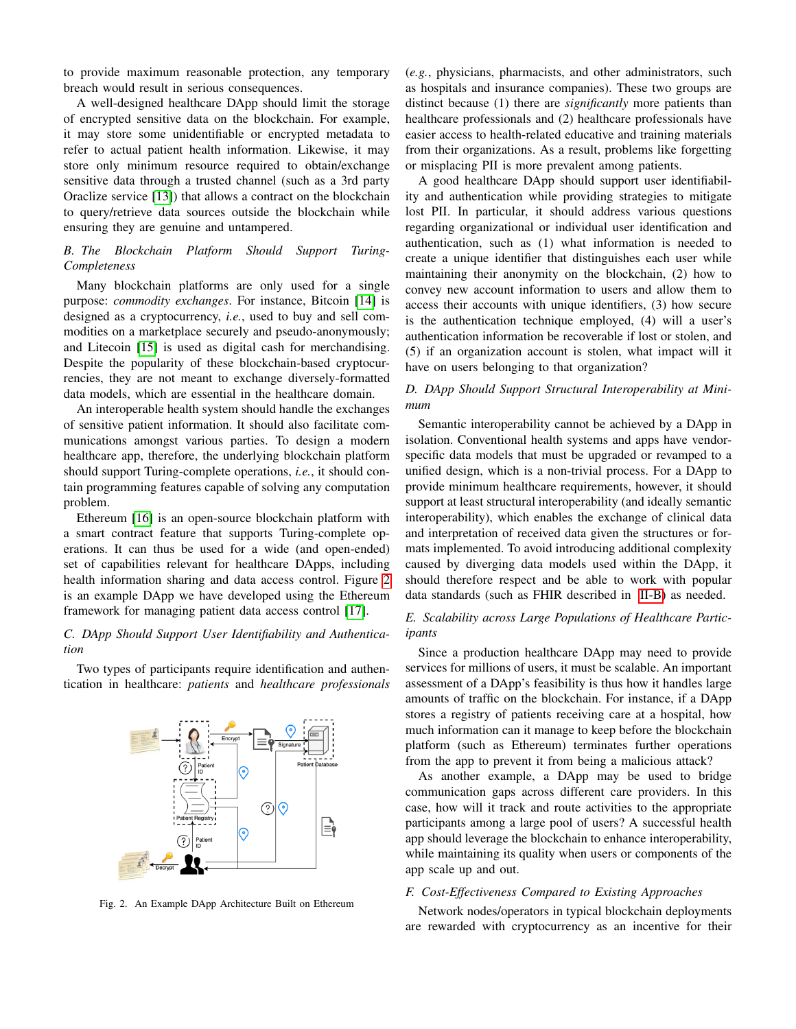to provide maximum reasonable protection, any temporary breach would result in serious consequences.

A well-designed healthcare DApp should limit the storage of encrypted sensitive data on the blockchain. For example, it may store some unidentifiable or encrypted metadata to refer to actual patient health information. Likewise, it may store only minimum resource required to obtain/exchange sensitive data through a trusted channel (such as a 3rd party Oraclize service [\[13\]](#page-3-12)) that allows a contract on the blockchain to query/retrieve data sources outside the blockchain while ensuring they are genuine and untampered.

## *B. The Blockchain Platform Should Support Turing-Completeness*

Many blockchain platforms are only used for a single purpose: *commodity exchanges*. For instance, Bitcoin [\[14\]](#page-3-13) is designed as a cryptocurrency, *i.e.*, used to buy and sell commodities on a marketplace securely and pseudo-anonymously; and Litecoin [\[15\]](#page-3-14) is used as digital cash for merchandising. Despite the popularity of these blockchain-based cryptocurrencies, they are not meant to exchange diversely-formatted data models, which are essential in the healthcare domain.

An interoperable health system should handle the exchanges of sensitive patient information. It should also facilitate communications amongst various parties. To design a modern healthcare app, therefore, the underlying blockchain platform should support Turing-complete operations, *i.e.*, it should contain programming features capable of solving any computation problem.

Ethereum [\[16\]](#page-3-15) is an open-source blockchain platform with a smart contract feature that supports Turing-complete operations. It can thus be used for a wide (and open-ended) set of capabilities relevant for healthcare DApps, including health information sharing and data access control. Figure [2](#page-2-0) is an example DApp we have developed using the Ethereum framework for managing patient data access control [\[17\]](#page-3-16).

## *C. DApp Should Support User Identifiability and Authentication*

Two types of participants require identification and authentication in healthcare: *patients* and *healthcare professionals*



<span id="page-2-0"></span>Fig. 2. An Example DApp Architecture Built on Ethereum

(*e.g.*, physicians, pharmacists, and other administrators, such as hospitals and insurance companies). These two groups are distinct because (1) there are *significantly* more patients than healthcare professionals and (2) healthcare professionals have easier access to health-related educative and training materials from their organizations. As a result, problems like forgetting or misplacing PII is more prevalent among patients.

A good healthcare DApp should support user identifiability and authentication while providing strategies to mitigate lost PII. In particular, it should address various questions regarding organizational or individual user identification and authentication, such as (1) what information is needed to create a unique identifier that distinguishes each user while maintaining their anonymity on the blockchain, (2) how to convey new account information to users and allow them to access their accounts with unique identifiers, (3) how secure is the authentication technique employed, (4) will a user's authentication information be recoverable if lost or stolen, and (5) if an organization account is stolen, what impact will it have on users belonging to that organization?

## *D. DApp Should Support Structural Interoperability at Minimum*

Semantic interoperability cannot be achieved by a DApp in isolation. Conventional health systems and apps have vendorspecific data models that must be upgraded or revamped to a unified design, which is a non-trivial process. For a DApp to provide minimum healthcare requirements, however, it should support at least structural interoperability (and ideally semantic interoperability), which enables the exchange of clinical data and interpretation of received data given the structures or formats implemented. To avoid introducing additional complexity caused by diverging data models used within the DApp, it should therefore respect and be able to work with popular data standards (such as FHIR described in [II-B\)](#page-1-2) as needed.

## *E. Scalability across Large Populations of Healthcare Participants*

Since a production healthcare DApp may need to provide services for millions of users, it must be scalable. An important assessment of a DApp's feasibility is thus how it handles large amounts of traffic on the blockchain. For instance, if a DApp stores a registry of patients receiving care at a hospital, how much information can it manage to keep before the blockchain platform (such as Ethereum) terminates further operations from the app to prevent it from being a malicious attack?

As another example, a DApp may be used to bridge communication gaps across different care providers. In this case, how will it track and route activities to the appropriate participants among a large pool of users? A successful health app should leverage the blockchain to enhance interoperability, while maintaining its quality when users or components of the app scale up and out.

## *F. Cost-Effectiveness Compared to Existing Approaches*

Network nodes/operators in typical blockchain deployments are rewarded with cryptocurrency as an incentive for their